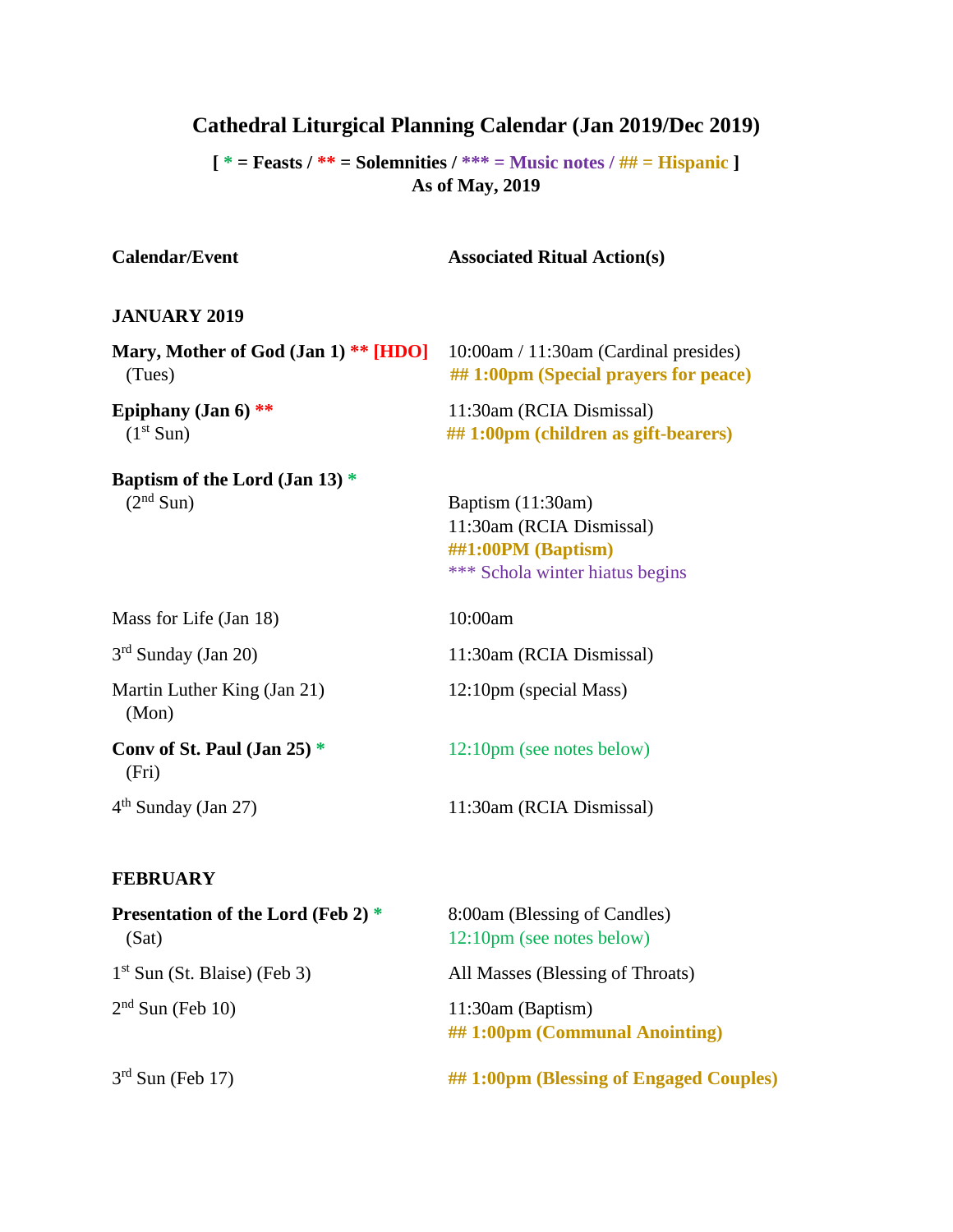# **Cathedral Liturgical Planning Calendar (Jan 2019/Dec 2019)**

**[ \* = Feasts / \*\* = Solemnities / \*\*\* = Music notes / ## = Hispanic ] As of May, 2019**

| <b>Calendar/Event</b>                                     | <b>Associated Ritual Action(s)</b>                                                                     |
|-----------------------------------------------------------|--------------------------------------------------------------------------------------------------------|
| <b>JANUARY 2019</b>                                       |                                                                                                        |
| Mary, Mother of God (Jan 1) ** [HDO]<br>(Tues)            | $10:00$ am / 11:30am (Cardinal presides)<br>##1:00pm (Special prayers for peace)                       |
| Epiphany (Jan $6$ ) **<br>(1 <sup>st</sup> Sun)           | 11:30am (RCIA Dismissal)<br>## 1:00pm (children as gift-bearers)                                       |
| Baptism of the Lord (Jan 13) $*$<br>(2 <sup>nd</sup> Sun) | Baptism (11:30am)<br>11:30am (RCIA Dismissal)<br>##1:00PM (Baptism)<br>*** Schola winter hiatus begins |
| Mass for Life (Jan 18)                                    | 10:00am                                                                                                |
| $3rd$ Sunday (Jan 20)                                     | 11:30am (RCIA Dismissal)                                                                               |
| Martin Luther King (Jan 21)<br>(Mon)                      | 12:10pm (special Mass)                                                                                 |
| Conv of St. Paul (Jan 25) $*$<br>(Fri)                    | 12:10pm (see notes below)                                                                              |
| $4th$ Sunday (Jan 27)                                     | 11:30am (RCIA Dismissal)                                                                               |
| <b>FEBRUARY</b>                                           |                                                                                                        |

| <b>Presentation of the Lord (Feb 2) *</b><br>(Sat) | 8:00am (Blessing of Candles)<br>12:10pm (see notes below) |
|----------------------------------------------------|-----------------------------------------------------------|
| $1st$ Sun (St. Blaise) (Feb 3)                     | All Masses (Blessing of Throats)                          |
| $2nd$ Sun (Feb 10)                                 | $11:30am$ (Baptism)<br>## 1:00pm (Communal Anointing)     |
| $3rd$ Sun (Feb 17)                                 | ## 1:00pm (Blessing of Engaged Couples)                   |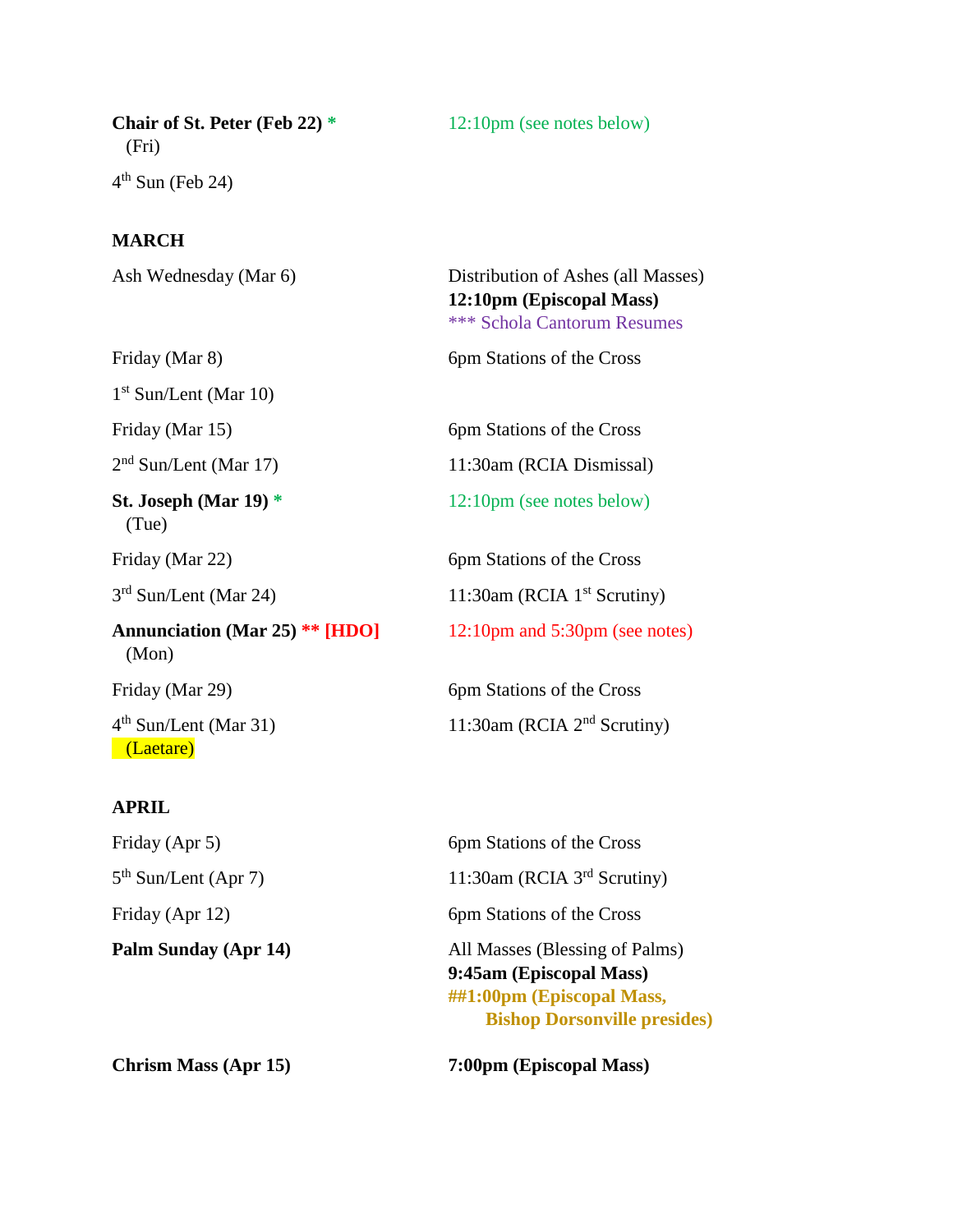**Chair of St. Peter (Feb 22)** \* 12:10pm (see notes below) (Fri)  $4^{\text{th}}$  Sun (Feb 24)

#### **MARCH**

Ash Wednesday (Mar 6) Distribution of Ashes (all Masses) **12:10pm (Episcopal Mass)** \*\*\* Schola Cantorum Resumes Friday (Mar 8) 6pm Stations of the Cross 1 st Sun/Lent (Mar 10) Friday (Mar 15) 6pm Stations of the Cross  $2<sup>nd</sup> Sun/Lent (Mar 17)$ 11:30am (RCIA Dismissal) **St. Joseph (Mar 19)** \* 12:10pm (see notes below) (Tue) Friday (Mar 22) 6pm Stations of the Cross  $3<sup>rd</sup> Sun/Lent (Mar 24)$ 11:30am (RCIA  $1<sup>st</sup>$  Scrutiny) **Annunciation (Mar 25) \*\* [HDO]** 12:10pm and 5:30pm (see notes) (Mon) Friday (Mar 29) 6pm Stations of the Cross  $4<sup>th</sup> Sun/Lent (Mar 31)$ 11:30am (RCIA  $2<sup>nd</sup>$  Scrutiny) (Laetare)

### **APRIL**

Friday (Apr 5) 6pm Stations of the Cross  $5<sup>th</sup> Sun/Lent (Apr 7)$ 

11:30am (RCIA 3<sup>rd</sup> Scrutiny) Friday (Apr 12) 6pm Stations of the Cross **Palm Sunday (Apr 14)** All Masses (Blessing of Palms) **9:45am (Episcopal Mass) ##1:00pm (Episcopal Mass, Bishop Dorsonville presides)**

**Chrism Mass (Apr 15) 7:00pm (Episcopal Mass)**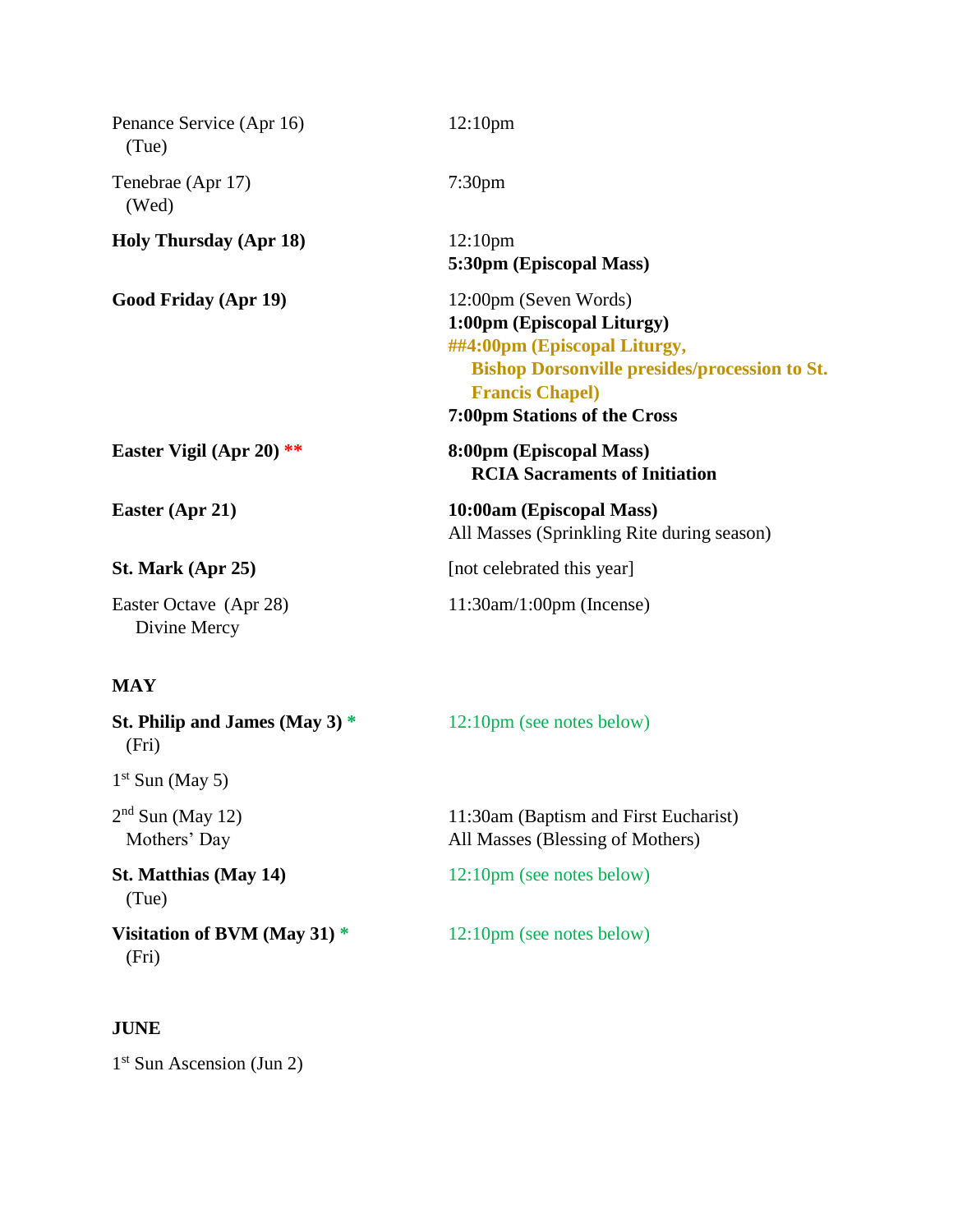| Penance Service (Apr 16)<br>(Tue)      | 12:10 <sub>pm</sub>                                                                                                                                                                                          |
|----------------------------------------|--------------------------------------------------------------------------------------------------------------------------------------------------------------------------------------------------------------|
| Tenebrae (Apr 17)<br>(Wed)             | 7:30 <sub>pm</sub>                                                                                                                                                                                           |
| <b>Holy Thursday (Apr 18)</b>          | 12:10 <sub>pm</sub><br>5:30pm (Episcopal Mass)                                                                                                                                                               |
| Good Friday (Apr 19)                   | 12:00pm (Seven Words)<br>1:00pm (Episcopal Liturgy)<br>##4:00pm (Episcopal Liturgy,<br><b>Bishop Dorsonville presides/procession to St.</b><br><b>Francis Chapel)</b><br><b>7:00pm Stations of the Cross</b> |
| Easter Vigil (Apr 20) $**$             | 8:00pm (Episcopal Mass)<br><b>RCIA Sacraments of Initiation</b>                                                                                                                                              |
| Easter (Apr 21)                        | 10:00am (Episcopal Mass)<br>All Masses (Sprinkling Rite during season)                                                                                                                                       |
| St. Mark (Apr 25)                      | [not celebrated this year]                                                                                                                                                                                   |
| Easter Octave (Apr 28)<br>Divine Mercy | $11:30$ am/ $1:00$ pm (Incense)                                                                                                                                                                              |

# **MAY**

| St. Philip and James (May 3) $*$<br>(Fri) | 12:10pm (see notes below)                                                 |
|-------------------------------------------|---------------------------------------------------------------------------|
| $1st$ Sun (May 5)                         |                                                                           |
| $2nd$ Sun (May 12)<br>Mothers' Day        | 11:30am (Baptism and First Eucharist)<br>All Masses (Blessing of Mothers) |
| <b>St. Matthias (May 14)</b><br>(Tue)     | 12:10pm (see notes below)                                                 |
| Visitation of BVM (May 31) $*$<br>(Fri)   | 12:10pm (see notes below)                                                 |

## **JUNE**

1<sup>st</sup> Sun Ascension (Jun 2)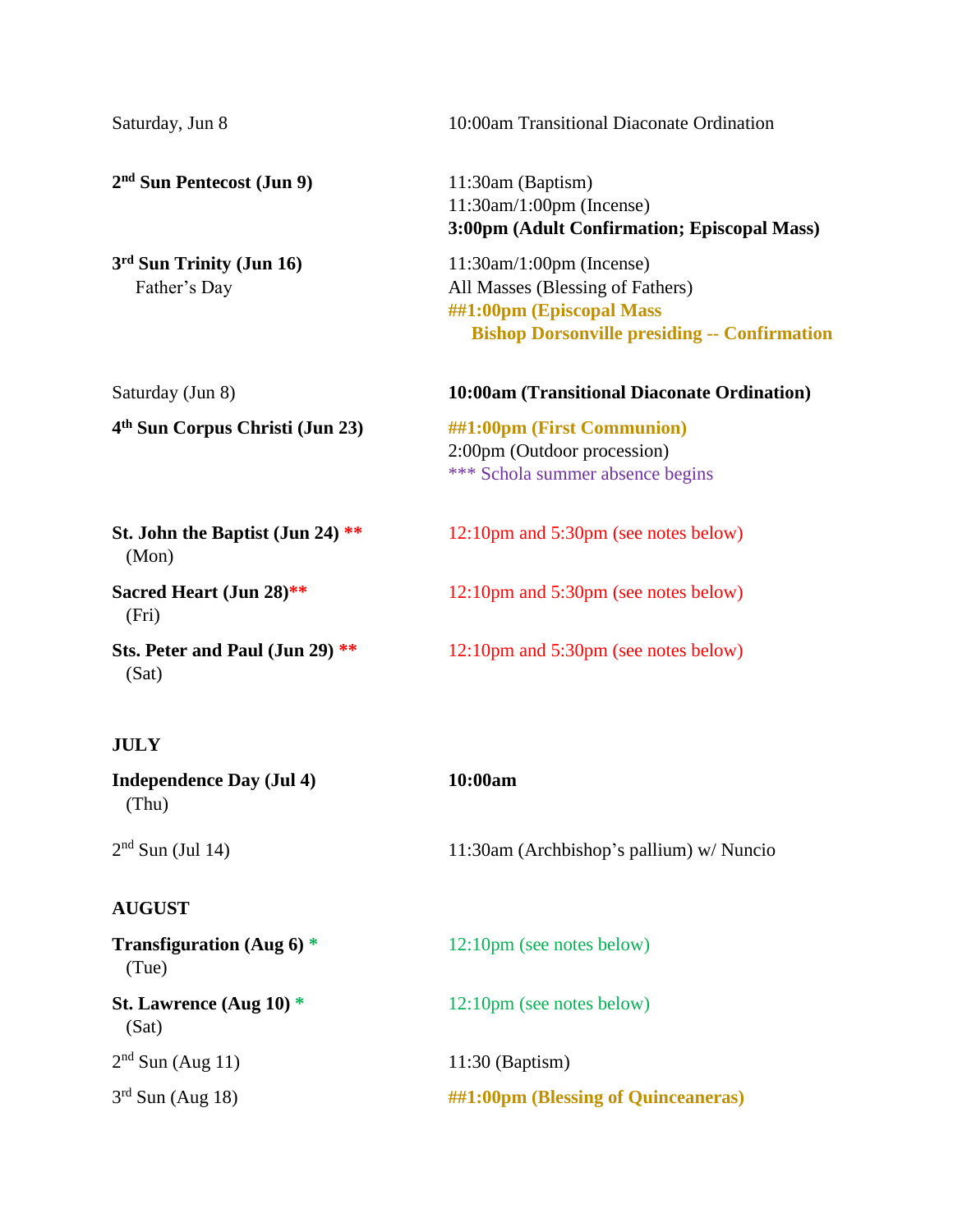| Saturday, Jun 8                             | 10:00am Transitional Diaconate Ordination                                                                                                              |
|---------------------------------------------|--------------------------------------------------------------------------------------------------------------------------------------------------------|
| 2 <sup>nd</sup> Sun Pentecost (Jun 9)       | 11:30am (Baptism)<br>$11:30$ am/ $1:00$ pm (Incense)<br>3:00pm (Adult Confirmation; Episcopal Mass)                                                    |
| 3rd Sun Trinity (Jun 16)<br>Father's Day    | $11:30$ am/ $1:00$ pm (Incense)<br>All Masses (Blessing of Fathers)<br>##1:00pm (Episcopal Mass<br><b>Bishop Dorsonville presiding -- Confirmation</b> |
| Saturday (Jun 8)                            | 10:00am (Transitional Diaconate Ordination)                                                                                                            |
| 4 <sup>th</sup> Sun Corpus Christi (Jun 23) | ##1:00pm (First Communion)<br>2:00pm (Outdoor procession)<br>*** Schola summer absence begins                                                          |
| St. John the Baptist (Jun 24) **<br>(Mon)   | 12:10pm and 5:30pm (see notes below)                                                                                                                   |
| Sacred Heart (Jun 28)**<br>(Fri)            | 12:10pm and 5:30pm (see notes below)                                                                                                                   |
| Sts. Peter and Paul (Jun 29) **<br>(Sat)    | 12:10pm and 5:30pm (see notes below)                                                                                                                   |
| <b>JULY</b>                                 |                                                                                                                                                        |
| <b>Independence Day (Jul 4)</b><br>(Thu)    | 10:00am                                                                                                                                                |
| $2nd$ Sun (Jul 14)                          | 11:30am (Archbishop's pallium) w/ Nuncio                                                                                                               |
| <b>AUGUST</b>                               |                                                                                                                                                        |
| Transfiguration (Aug $6$ ) *<br>(Tue)       | 12:10pm (see notes below)                                                                                                                              |
| St. Lawrence (Aug 10) $*$<br>(Sat)          | 12:10pm (see notes below)                                                                                                                              |
| $2nd$ Sun (Aug 11)                          | 11:30 (Baptism)                                                                                                                                        |
| $3rd$ Sun (Aug 18)                          | ##1:00pm (Blessing of Quinceaneras)                                                                                                                    |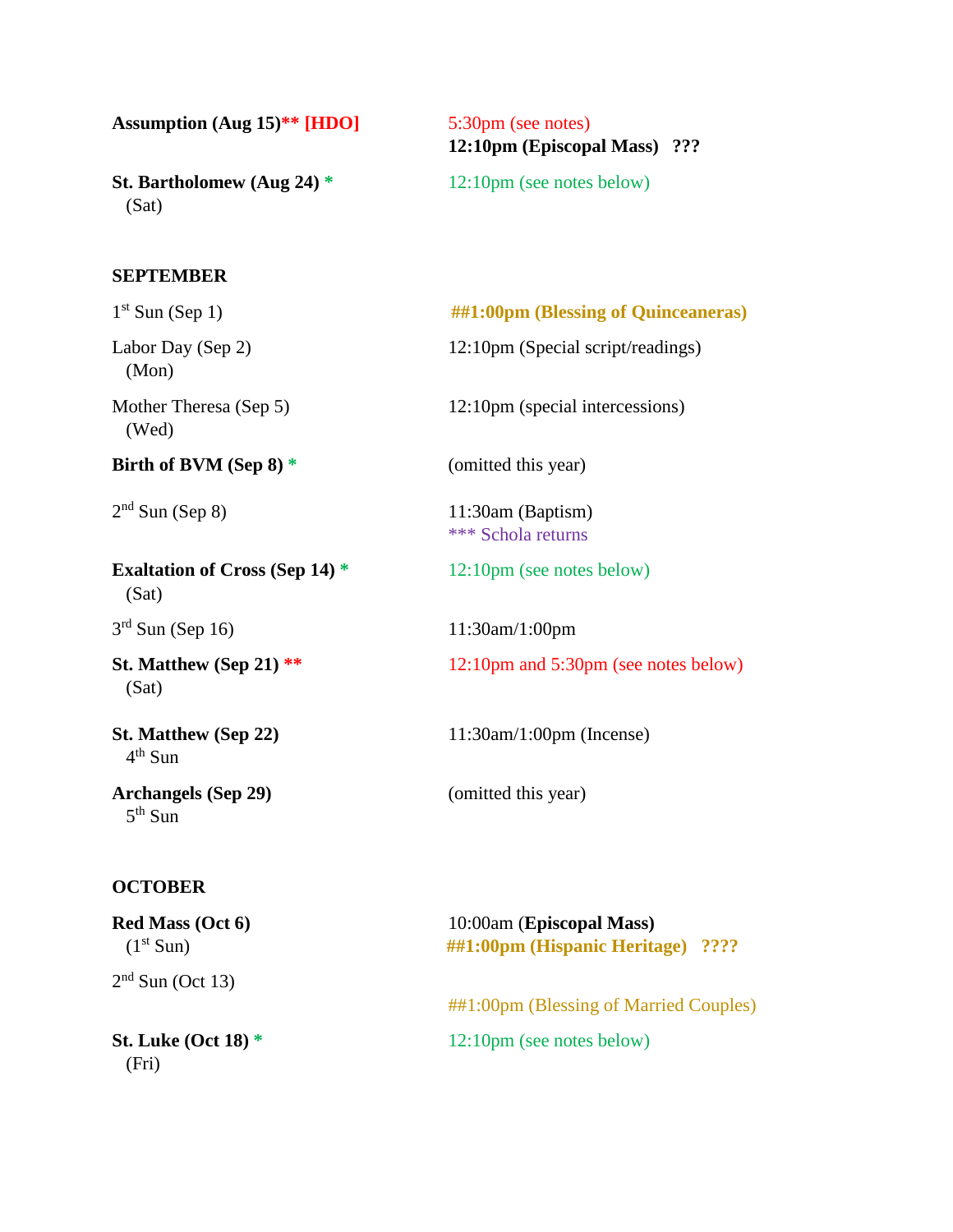**Assumption (Aug 15)\*\* [HDO]** 5:30pm (see notes)

**St. Bartholomew (Aug 24)**  $*$  12:10pm (see notes below) (Sat)

# **12:10pm (Episcopal Mass) ???**

#### **SEPTEMBER**

 $1<sup>st</sup>$  Sun (Sep 1) **##1:00pm (Blessing of Quinceaneras)** Labor Day (Sep 2) 12:10pm (Special script/readings) (Mon) Mother Theresa (Sep 5) 12:10pm (special intercessions) (Wed) **Birth of BVM (Sep 8)** \* (omitted this year)  $2<sup>nd</sup>$  Sun (Sep 8) 11:30am (Baptism) \*\*\* Schola returns **Exaltation of Cross (Sep 14)** \* 12:10pm (see notes below) (Sat)  $3<sup>rd</sup>$  Sun (Sep 16) 11:30am/1:00pm **St. Matthew (Sep 21)** \*\* 12:10pm and 5:30pm (see notes below) (Sat) **St. Matthew (Sep 22)** 11:30am/1:00pm (Incense) 4 th Sun **Archangels (Sep 29)** (omitted this year) 5<sup>th</sup> Sun

#### **OCTOBER**

**Red Mass (Oct 6)** 10:00am (**Episcopal Mass)** (1st Sun) **##1:00pm (Hispanic Heritage) ????**  $2<sup>nd</sup>$  Sun (Oct 13) ##1:00pm (Blessing of Married Couples) **St. Luke (Oct 18)** \* 12:10pm (see notes below) (Fri)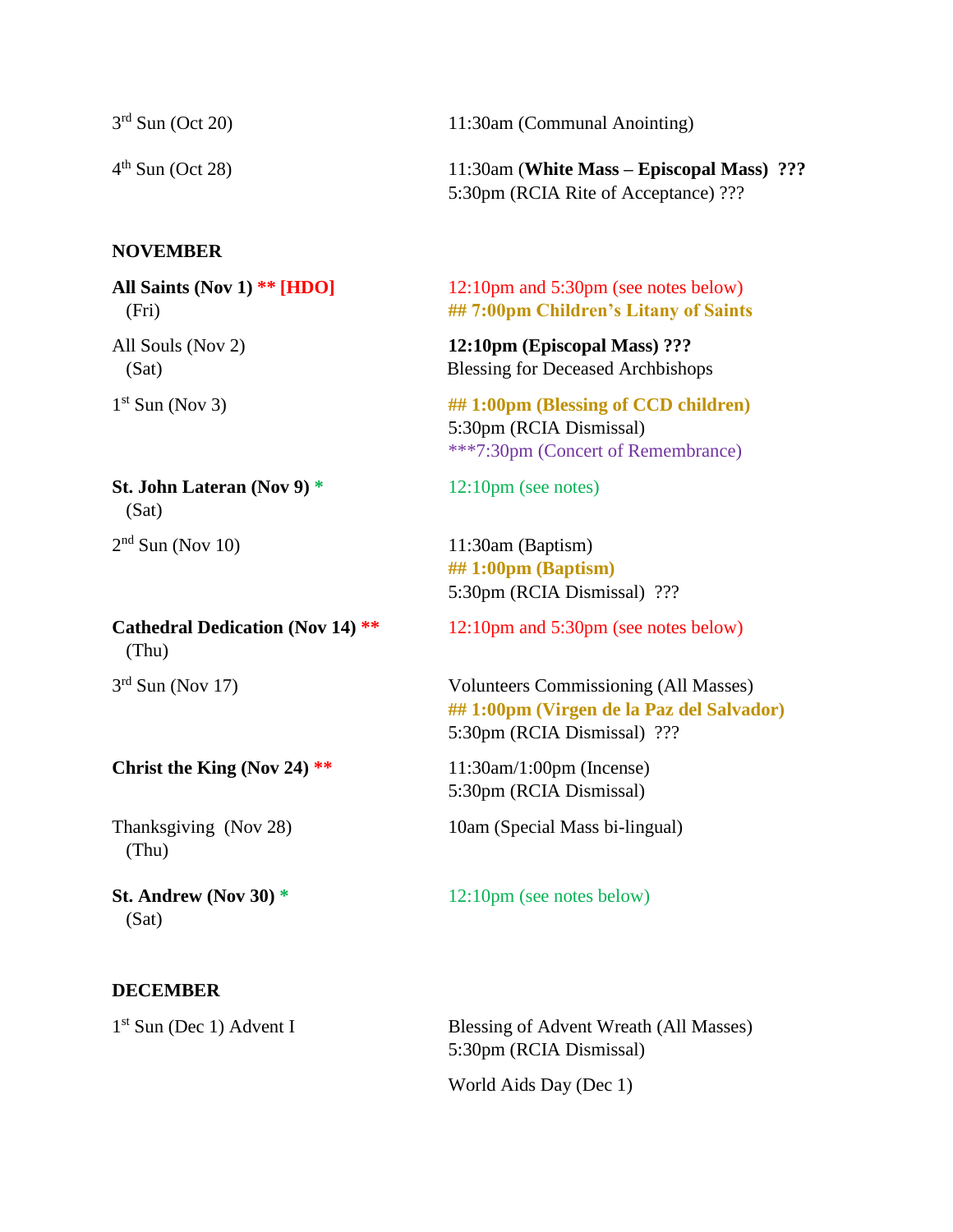| $3rd$ Sun (Oct 20) | 11:30am (Communal Anointing)              |
|--------------------|-------------------------------------------|
| $4th$ Sun (Oct 28) | 11:30am (White Mass – Episcopal Mass) ??? |
|                    | 5:30pm (RCIA Rite of Acceptance) ???      |

#### **NOVEMBER**

 $1<sup>st</sup>$  Sun (Nov 3)

**St. John Lateran (Nov 9)** \* 12:10pm (see notes) (Sat)  $2<sup>nd</sup>$  Sun (Nov 10)

 (Thu)  $3<sup>rd</sup>$  Sun (Nov 17)

#### **Christ the King (Nov 24) \*\*** 11:30am/1:00pm (Incense)

(Thu)

**St. Andrew (Nov 30)** \* 12:10pm (see notes below) (Sat)

#### **DECEMBER**

 $1<sup>st</sup>$  Sun (Dec 1) Advent I

**All Saints (Nov 1) \*\* [HDO]** 12:10pm and 5:30pm (see notes below) (Fri) **## 7:00pm Children's Litany of Saints**

All Souls (Nov 2) **12:10pm (Episcopal Mass) ???** (Sat) Blessing for Deceased Archbishops

> ## 1:00pm (Blessing of CCD children) 5:30pm (RCIA Dismissal) \*\*\*7:30pm (Concert of Remembrance)

11:30am (Baptism) **## 1:00pm (Baptism)** 5:30pm (RCIA Dismissal) ???

**Cathedral Dedication (Nov 14) \*\*** 12:10pm and 5:30pm (see notes below)

Volunteers Commissioning (All Masses) **## 1:00pm (Virgen de la Paz del Salvador)** 5:30pm (RCIA Dismissal) ???

5:30pm (RCIA Dismissal)

Thanksgiving (Nov 28) 10am (Special Mass bi-lingual)

Blessing of Advent Wreath (All Masses) 5:30pm (RCIA Dismissal)

World Aids Day (Dec 1)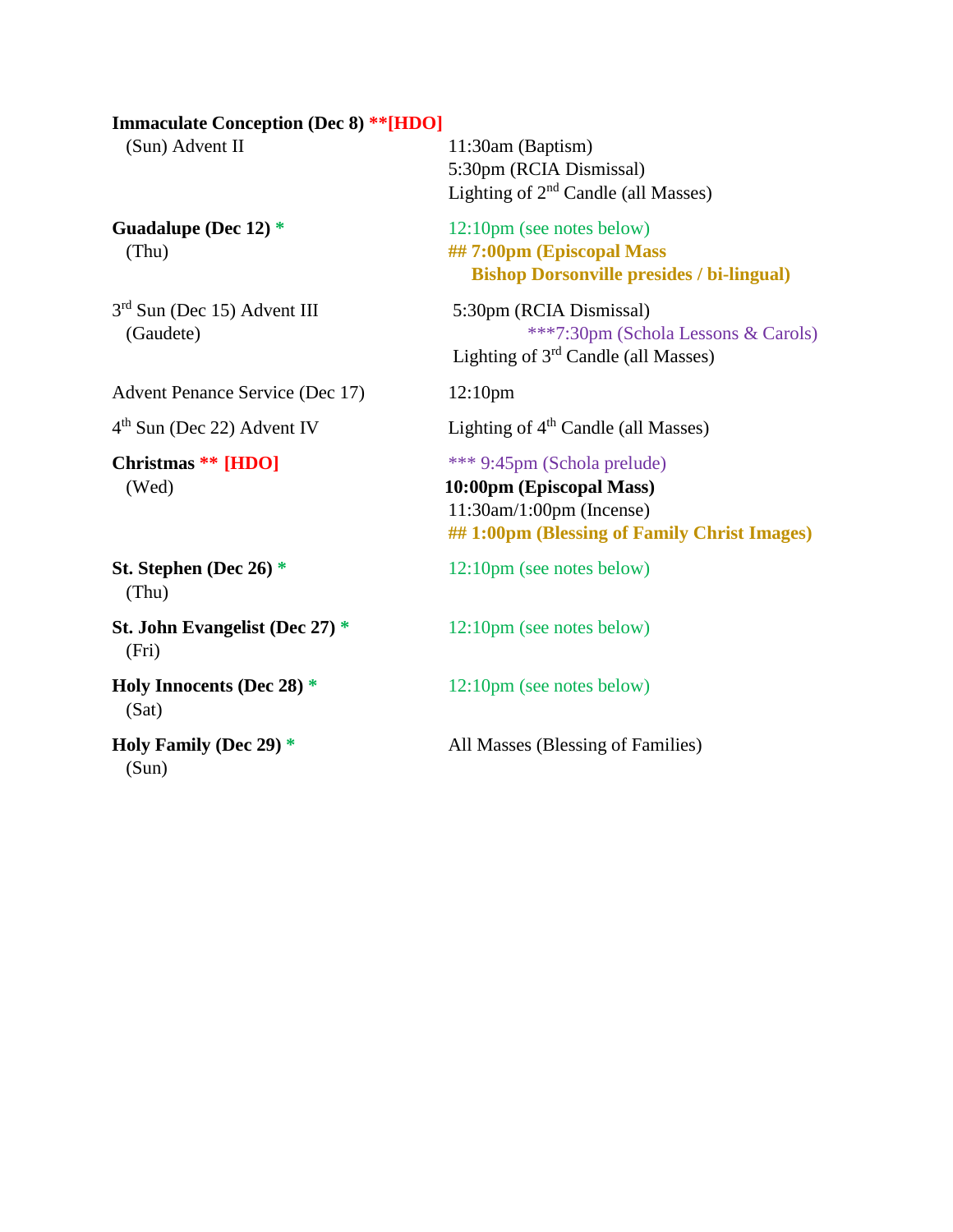#### **Immaculate Conception (Dec 8) \*\*[HDO]**

Guadalupe (Dec 12) \* 12:10pm (see notes below)

3 rd Sun (Dec 15) Advent III 5:30pm (RCIA Dismissal)

Advent Penance Service (Dec 17) 12:10pm

 $4<sup>th</sup>$  Sun (Dec 22) Advent IV

(Wed) **10:00pm (Episcopal Mass)**

(Thu)

**St. John Evangelist (Dec 27)** \* 12:10pm (see notes below) (Fri)

(Sat)

(Sun)

(Sun) Advent II 11:30am (Baptism) 5:30pm (RCIA Dismissal) Lighting of  $2<sup>nd</sup>$  Candle (all Masses)

 (Thu) **## 7:00pm (Episcopal Mass Bishop Dorsonville presides / bi-lingual)**

 (Gaudete) \*\*\*7:30pm (Schola Lessons & Carols) Lighting of 3rd Candle (all Masses)

Lighting of  $4<sup>th</sup>$  Candle (all Masses)

**Christmas \*\* [HDO]** \*\*\* 9:45pm (Schola prelude)

11:30am/1:00pm (Incense) **## 1:00pm (Blessing of Family Christ Images)**

**St. Stephen (Dec 26)** \* 12:10pm (see notes below)

**Holy Innocents (Dec 28)** \* 12:10pm (see notes below)

**Holy Family (Dec 29) \*** All Masses (Blessing of Families)